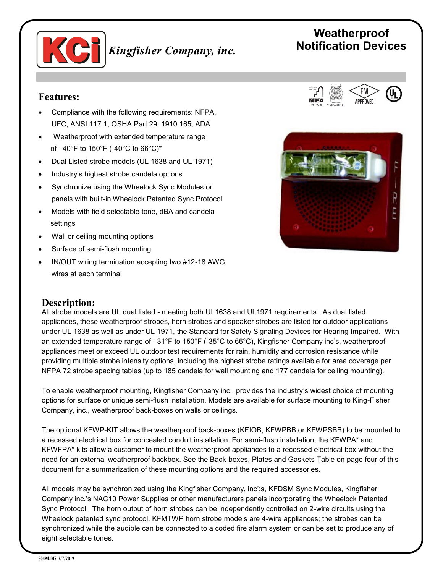

*Kingfisher Company, inc.*

# **Weatherproof Notification Devices**

### **Features:**

- Compliance with the following requirements: NFPA, UFC, ANSI 117.1, OSHA Part 29, 1910.165, ADA
- Weatherproof with extended temperature range of –40°F to 150°F (-40°C to 66°C)\*
- Dual Listed strobe models (UL 1638 and UL 1971)
- Industry's highest strobe candela options
- Synchronize using the Wheelock Sync Modules or panels with built-in Wheelock Patented Sync Protocol
- Models with field selectable tone, dBA and candela settings
- Wall or ceiling mounting options
- Surface of semi-flush mounting
- IN/OUT wiring termination accepting two #12-18 AWG wires at each terminal

#### **Description:**

All strobe models are UL dual listed - meeting both UL1638 and UL1971 requirements. As dual listed appliances, these weatherproof strobes, horn strobes and speaker strobes are listed for outdoor applications under UL 1638 as well as under UL 1971, the Standard for Safety Signaling Devices for Hearing Impaired. With an extended temperature range of –31°F to 150°F (-35°C to 66°C), Kingfisher Company inc's, weatherproof appliances meet or exceed UL outdoor test requirements for rain, humidity and corrosion resistance while providing multiple strobe intensity options, including the highest strobe ratings available for area coverage per NFPA 72 strobe spacing tables (up to 185 candela for wall mounting and 177 candela for ceiling mounting).

To enable weatherproof mounting, Kingfisher Company inc., provides the industry's widest choice of mounting options for surface or unique semi-flush installation. Models are available for surface mounting to King-Fisher Company, inc., weatherproof back-boxes on walls or ceilings.

The optional KFWP-KIT allows the weatherproof back-boxes (KFIOB, KFWPBB or KFWPSBB) to be mounted to a recessed electrical box for concealed conduit installation. For semi-flush installation, the KFWPA\* and KFWFPA\* kits allow a customer to mount the weatherproof appliances to a recessed electrical box without the need for an external weatherproof backbox. See the Back-boxes, Plates and Gaskets Table on page four of this document for a summarization of these mounting options and the required accessories.

All models may be synchronized using the Kingfisher Company, inc';s, KFDSM Sync Modules, Kingfisher Company inc.'s NAC10 Power Supplies or other manufacturers panels incorporating the Wheelock Patented Sync Protocol. The horn output of horn strobes can be independently controlled on 2-wire circuits using the Wheelock patented sync protocol. KFMTWP horn strobe models are 4-wire appliances; the strobes can be synchronized while the audible can be connected to a coded fire alarm system or can be set to produce any of eight selectable tones.



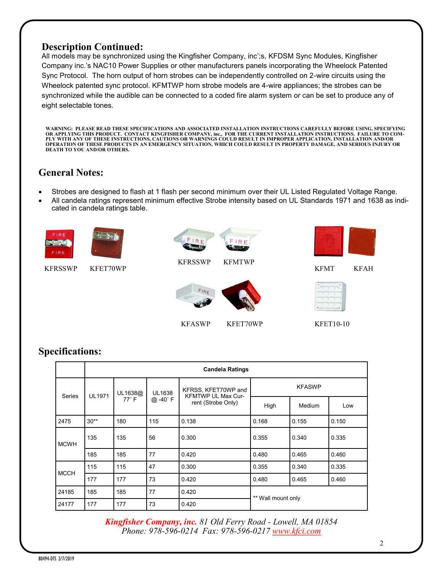#### **Description Continued:**

All models may be synchronized using the Kingfisher Company, inc';s, KFDSM Sync Modules, Kingfisher Company inc.'s NAC10 Power Supplies or other manufacturers panels incorporating the Wheelock Patented Sync Protocol. The horn output of horn strobes can be independently controlled on 2-wire circuits using the Wheelock patented sync protocol. KFMTWP horn strobe models are 4-wire appliances; the strobes can be synchronized while the audible can be connected to a coded fire alarm system or can be set to produce any of eight selectable tones.

**WARNING: PLEASE READ THESE SPECIFICATIONS AND ASSOCIATED INSTALLATION INSTRUCTIONS CAREFULLY BEFORE USING, SPECIFYING**  OR APPLYING THIS PRODUCT. CONTACT KINGFISHER COMPANY, inc., FOR THE CURRENT INSTALLATION INSTRUCTIONS. FAILURE TO COM-<br>PLY WITH ANY OF THESE INSTRUCTIONS, CAUTIONS OR WARNINGS COULD RESULT IN IMPROPER APPLICATION, INSTAL **DEATH TO YOU AND/OR OTHERS.**

## **General Notes:**

- Strobes are designed to flash at 1 flash per second minimum over their UL Listed Regulated Voltage Range.
- All candela ratings represent minimum effective Strobe intensity based on UL Standards 1971 and 1638 as indicated in candela ratings table.



## **Specifications:**

|             | <b>Candela Ratings</b> |                         |                          |                                                                        |                    |        |       |  |
|-------------|------------------------|-------------------------|--------------------------|------------------------------------------------------------------------|--------------------|--------|-------|--|
| Series      | <b>UL1971</b>          | UL1638@<br>$77^\circ$ F | <b>UL1638</b><br>@ -40°F | KFRSS, KFET70WP and<br><b>KFMTWP UL Max Cur-</b><br>rent (Strobe Only) | <b>KFASWP</b>      |        |       |  |
|             |                        |                         |                          |                                                                        | High               | Medium | Low   |  |
| 2475        | $30**$                 | 180                     | 115                      | 0.138                                                                  | 0.168              | 0.155  | 0.150 |  |
| <b>MCWH</b> | 135                    | 135                     | 56                       | 0.300                                                                  | 0.355              | 0.340  | 0.335 |  |
|             | 185                    | 185                     | 77                       | 0.420                                                                  | 0.480              | 0.465  | 0.460 |  |
| <b>MCCH</b> | 115                    | 115                     | 47                       | 0.300                                                                  | 0.355              | 0.340  | 0.335 |  |
|             | 177                    | 177                     | 73                       | 0.420                                                                  | 0.480              | 0.465  | 0.460 |  |
| 24185       | 185                    | 185                     | 77                       | 0.420                                                                  | ** Wall mount only |        |       |  |
| 24177       | 177                    | 177                     | 73                       | 0.420                                                                  |                    |        |       |  |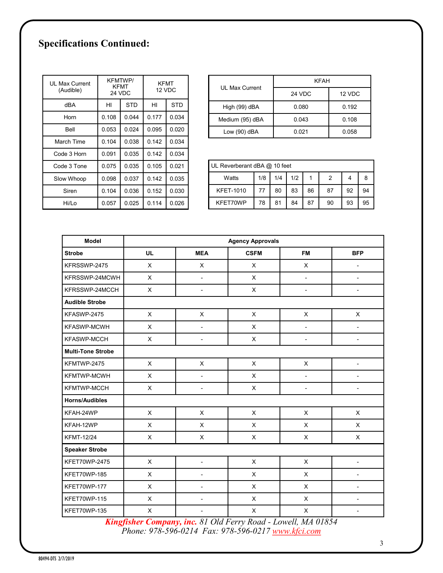# **Specifications Continued:**

| UL Max Current<br>(Audible) | <b>KFMTWP/</b><br>KFMT<br><b>24 VDC</b> |            | <b>KFMT</b><br>12 VDC |            |
|-----------------------------|-----------------------------------------|------------|-----------------------|------------|
| dBA                         | HI                                      | <b>STD</b> | HI                    | <b>STD</b> |
| Horn                        | 0.108                                   | 0.044      | 0.177                 | 0.034      |
| Bell                        | 0.053                                   | 0.024      | 0.095                 | 0.020      |
| March Time                  | 0.104                                   | 0.038      | 0.142                 | 0.034      |
| Code 3 Horn                 | 0.091                                   | 0.035      | 0.142                 | 0.034      |
| Code 3 Tone                 | 0.075                                   | 0.035      | 0.105                 | 0.021      |
| Slow Whoop                  | 0.098                                   | 0.037      | 0.142                 | 0.035      |
| Siren                       | 0.104                                   | 0.036      | 0.152                 | 0.030      |
| Hi/Lo                       | 0.057                                   | 0.025      | 0.114                 | 0.026      |

| UI Max Current  | KFAH          |        |  |  |
|-----------------|---------------|--------|--|--|
|                 | <b>24 VDC</b> | 12 VDC |  |  |
| High (99) dBA   | 0.080         | 0.192  |  |  |
| Medium (95) dBA | 0.043         | 0.108  |  |  |
| Low (90) dBA    | 0.021         | 0.058  |  |  |

| UL Reverberant dBA @ 10 feet |     |     |     |    |    |    |    |
|------------------------------|-----|-----|-----|----|----|----|----|
| Watts                        | 1/8 | 1/4 | 1/2 |    | 2  |    |    |
| <b>KFET-1010</b>             | 77  | 80  | 83  | 86 | 87 | 92 | 94 |
| KFET70WP                     | 78  | 81  | 84  | 87 | 90 | 93 | 95 |

| Model                    | <b>Agency Approvals</b> |                              |             |                          |                          |  |  |
|--------------------------|-------------------------|------------------------------|-------------|--------------------------|--------------------------|--|--|
| <b>Strobe</b>            | <b>UL</b>               | <b>MEA</b>                   | <b>CSFM</b> | <b>FM</b>                | <b>BFP</b>               |  |  |
| KFRSSWP-2475             | X                       | X                            | X           | X                        | $\blacksquare$           |  |  |
| KFRSSWP-24MCWH           | $\pmb{\times}$          | $\overline{a}$               | X           | $\overline{a}$           | $\overline{\phantom{a}}$ |  |  |
| KFRSSWP-24MCCH           | X                       | $\overline{\phantom{a}}$     | X           | $\overline{\phantom{a}}$ | $\overline{\phantom{a}}$ |  |  |
| <b>Audible Strobe</b>    |                         |                              |             |                          |                          |  |  |
| KFASWP-2475              | $\pmb{\times}$          | $\pmb{\times}$               | X           | X                        | X                        |  |  |
| <b>KFASWP-MCWH</b>       | X                       | $\overline{a}$               | X           | $\overline{\phantom{a}}$ | $\overline{\phantom{a}}$ |  |  |
| KFASWP-MCCH              | X                       | $\overline{\phantom{0}}$     | X           | $\overline{\phantom{a}}$ | $\overline{\phantom{a}}$ |  |  |
| <b>Multi-Tone Strobe</b> |                         |                              |             |                          |                          |  |  |
| KFMTWP-2475              | X                       | X                            | X           | X                        | $\overline{\phantom{a}}$ |  |  |
| KFMTWP-MCWH              | $\pmb{\times}$          | $\overline{\phantom{a}}$     | X           | $\overline{a}$           | $\overline{a}$           |  |  |
| KFMTWP-MCCH              | X                       | $\overline{a}$               | X           | $\overline{a}$           |                          |  |  |
| <b>Horns/Audibles</b>    |                         |                              |             |                          |                          |  |  |
| KFAH-24WP                | $\pmb{\times}$          | $\pmb{\times}$               | $\sf X$     | $\pmb{\times}$           | $\pmb{\times}$           |  |  |
| KFAH-12WP                | $\mathsf X$             | X                            | $\sf X$     | $\pmb{\times}$           | X                        |  |  |
| <b>KFMT-12/24</b>        | $\pmb{\times}$          | $\pmb{\times}$               | $\sf X$     | $\pmb{\times}$           | $\pmb{\times}$           |  |  |
| <b>Speaker Strobe</b>    |                         |                              |             |                          |                          |  |  |
| KFET70WP-2475            | $\pmb{\times}$          | $\qquad \qquad \blacksquare$ | X           | X                        | $\overline{\phantom{a}}$ |  |  |
| KFET70WP-185             | X                       | $\overline{\phantom{0}}$     | X           | X                        | $\overline{\phantom{a}}$ |  |  |
| KFET70WP-177             | $\pmb{\times}$          | $\overline{\phantom{a}}$     | $\mathsf X$ | X                        | $\blacksquare$           |  |  |
| KFET70WP-115             | $\pmb{\times}$          | ÷,                           | X           | $\pmb{\times}$           | $\overline{\phantom{a}}$ |  |  |
| KFET70WP-135             | X                       | $\overline{a}$               | X           | X                        |                          |  |  |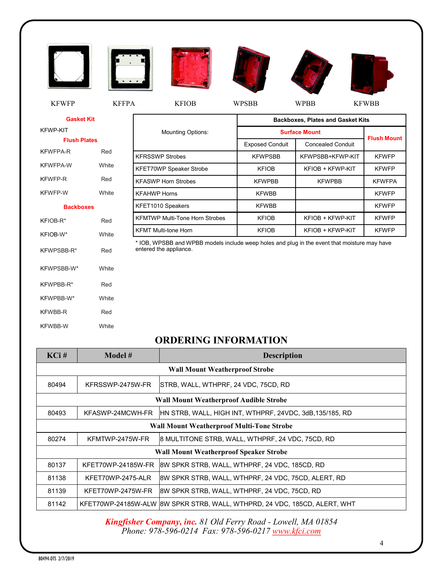

**Gasket Kit**

**Flush Plates** KFWFPA-R Red KFWFPA-W White KFWFP-R Red KFWFP-W White **Backboxes**  KFIOB-R\* Red KFIOB-W\* White

KFWPSBB-R\* Red

KFWPSBB-W\* White

KFWPBB-R\* Red KFWPBB-W\* White KFWBB-R Red KFWBB-W White

KFWP-KIT

|                                       | <b>Backboxes, Plates and Gasket Kits</b> |                          |                    |  |  |
|---------------------------------------|------------------------------------------|--------------------------|--------------------|--|--|
| <b>Mounting Options:</b>              | <b>Surface Mount</b>                     |                          |                    |  |  |
|                                       | <b>Exposed Conduit</b>                   | <b>Concealed Conduit</b> | <b>Flush Mount</b> |  |  |
| <b>KFRSSWP Strobes</b>                | <b>KFWPSBB</b>                           | KFWPSBB+KFWP-KIT         | <b>KFWFP</b>       |  |  |
| KFET70WP Speaker Strobe               | <b>KFIOB</b>                             | KFIOB + KFWP-KIT         | <b>KFWFP</b>       |  |  |
| <b>KFASWP Horn Strobes</b>            | <b>KFWPBB</b>                            | <b>KFWPBB</b>            | <b>KFWFPA</b>      |  |  |
| KFAHWP Horns                          | <b>KFWBB</b>                             |                          | <b>KFWFP</b>       |  |  |
| KFET1010 Speakers                     | <b>KFWBB</b>                             |                          | <b>KFWFP</b>       |  |  |
| <b>KFMTWP Multi-Tone Horn Strobes</b> | <b>KFIOB</b>                             | KFIOB + KFWP-KIT         | <b>KFWFP</b>       |  |  |
| <b>KFMT Multi-tone Horn</b>           | <b>KFIOB</b>                             | KFIOB + KFWP-KIT         | <b>KFWFP</b>       |  |  |

\* IOB, WPSBB and WPBB models include weep holes and plug in the event that moisture may have entered the appliance.

#### **ORDERING INFORMATION**

| $KCi$ # | Model #                                          | <b>Description</b>                                                        |  |  |  |  |
|---------|--------------------------------------------------|---------------------------------------------------------------------------|--|--|--|--|
|         | <b>Wall Mount Weatherproof Strobe</b>            |                                                                           |  |  |  |  |
| 80494   | KFRSSWP-2475W-FR                                 | ISTRB, WALL, WTHPRF, 24 VDC, 75CD, RD                                     |  |  |  |  |
|         | <b>Wall Mount Weatherproof Audible Strobe</b>    |                                                                           |  |  |  |  |
| 80493   | KFASWP-24MCWH-FR                                 | HN STRB, WALL, HIGH INT, WTHPRF, 24VDC, 3dB,135/185, RD                   |  |  |  |  |
|         | <b>Wall Mount Weatherproof Multi-Tone Strobe</b> |                                                                           |  |  |  |  |
| 80274   | KFMTWP-2475W-FR                                  | 8 MULTITONE STRB, WALL, WTHPRF, 24 VDC, 75CD, RD                          |  |  |  |  |
|         | <b>Wall Mount Weatherproof Speaker Strobe</b>    |                                                                           |  |  |  |  |
| 80137   | KFET70WP-24185W-FR                               | 8W SPKR STRB, WALL, WTHPRF, 24 VDC, 185CD, RD                             |  |  |  |  |
| 81138   | KFET70WP-2475-ALR                                | 8W SPKR STRB, WALL, WTHPRF, 24 VDC, 75CD, ALERT, RD                       |  |  |  |  |
| 81139   | KFET70WP-2475W-FR                                | 8W SPKR STRB, WALL, WTHPRF, 24 VDC, 75CD, RD                              |  |  |  |  |
| 81142   |                                                  | KFET70WP-24185W-ALW 8W SPKR STRB, WALL, WTHPRD, 24 VDC, 185CD, ALERT, WHT |  |  |  |  |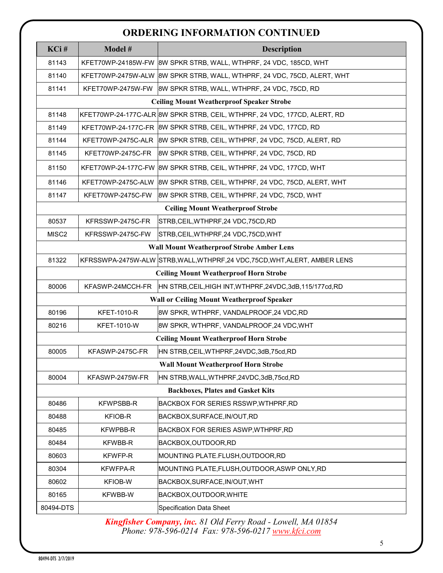## **ORDERING INFORMATION CONTINUED**

|                   |                                            | UNDERING INI UNMAHJUN CONTINUED                                             |  |  |  |
|-------------------|--------------------------------------------|-----------------------------------------------------------------------------|--|--|--|
| KCi#              | Model #                                    | <b>Description</b>                                                          |  |  |  |
| 81143             |                                            | KFET70WP-24185W-FW 8W SPKR STRB, WALL, WTHPRF, 24 VDC, 185CD, WHT           |  |  |  |
| 81140             |                                            | KFET70WP-2475W-ALW 8W SPKR STRB, WALL, WTHPRF, 24 VDC, 75CD, ALERT, WHT     |  |  |  |
| 81141             | KFET70WP-2475W-FW                          | 8W SPKR STRB, WALL, WTHPRF, 24 VDC, 75CD, RD                                |  |  |  |
|                   |                                            | <b>Ceiling Mount Weatherproof Speaker Strobe</b>                            |  |  |  |
| 81148             |                                            | KFET70WP-24-177C-ALR 8W SPKR STRB, CEIL, WTHPRF, 24 VDC, 177CD, ALERT, RD   |  |  |  |
| 81149             |                                            | KFET70WP-24-177C-FR 8W SPKR STRB, CEIL, WTHPRF, 24 VDC, 177CD, RD           |  |  |  |
| 81144             | KFET70WP-2475C-ALR                         | 8W SPKR STRB, CEIL, WTHPRF, 24 VDC, 75CD, ALERT, RD                         |  |  |  |
| 81145             | KFET70WP-2475C-FR                          | 8W SPKR STRB, CEIL, WTHPRF, 24 VDC, 75CD, RD                                |  |  |  |
| 81150             | KFET70WP-24-177C-FW                        | 8W SPKR STRB, CEIL, WTHPRF, 24 VDC, 177CD, WHT                              |  |  |  |
| 81146             | KFET70WP-2475C-ALW                         | 8W SPKR STRB, CEIL, WTHPRF, 24 VDC, 75CD, ALERT, WHT                        |  |  |  |
| 81147             | KFET70WP-2475C-FW                          | 8W SPKR STRB, CEIL, WTHPRF, 24 VDC, 75CD, WHT                               |  |  |  |
|                   |                                            | <b>Ceiling Mount Weatherproof Strobe</b>                                    |  |  |  |
| 80537             | KFRSSWP-2475C-FR                           | STRB,CEIL,WTHPRF,24 VDC,75CD,RD                                             |  |  |  |
| MISC <sub>2</sub> | KFRSSWP-2475C-FW                           | STRB,CEIL,WTHPRF,24 VDC,75CD,WHT                                            |  |  |  |
|                   |                                            | <b>Wall Mount Weatherproof Strobe Amber Lens</b>                            |  |  |  |
| 81322             |                                            | KFRSSWPA-2475W-ALW STRB, WALL, WTHPRF, 24 VDC, 75CD, WHT, ALERT, AMBER LENS |  |  |  |
|                   |                                            | <b>Ceiling Mount Weatherproof Horn Strobe</b>                               |  |  |  |
| 80006             | KFASWP-24MCCH-FR                           | HN STRB, CEIL, HIGH INT, WTHPRF, 24VDC, 3dB, 115/177cd, RD                  |  |  |  |
|                   | Wall or Ceiling Mount Weatherproof Speaker |                                                                             |  |  |  |
| 80196             | <b>KFET-1010-R</b>                         | 8W SPKR, WTHPRF, VANDALPROOF,24 VDC,RD                                      |  |  |  |
| 80216             | <b>KFET-1010-W</b>                         | 8W SPKR, WTHPRF, VANDALPROOF,24 VDC,WHT                                     |  |  |  |
|                   |                                            | <b>Ceiling Mount Weatherproof Horn Strobe</b>                               |  |  |  |
| 80005             | KFASWP-2475C-FR                            | HN STRB,CEIL,WTHPRF,24VDC,3dB,75cd,RD                                       |  |  |  |
|                   |                                            | <b>Wall Mount Weatherproof Horn Strobe</b>                                  |  |  |  |
| 80004             | KFASWP-2475W-FR                            | HN STRB,WALL,WTHPRF,24VDC,3dB,75cd,RD                                       |  |  |  |
|                   |                                            | <b>Backboxes, Plates and Gasket Kits</b>                                    |  |  |  |
| 80486             | <b>KFWPSBB-R</b>                           | BACKBOX FOR SERIES RSSWP, WTHPRF, RD                                        |  |  |  |
| 80488             | KFIOB-R                                    | BACKBOX, SURFACE, IN/OUT, RD                                                |  |  |  |
| 80485             | <b>KFWPBB-R</b>                            | BACKBOX FOR SERIES ASWP,WTHPRF,RD                                           |  |  |  |
| 80484             | <b>KFWBB-R</b>                             | BACKBOX, OUTDOOR, RD                                                        |  |  |  |
| 80603             | <b>KFWFP-R</b>                             | MOUNTING PLATE.FLUSH, OUTDOOR, RD                                           |  |  |  |
| 80304             | <b>KFWFPA-R</b>                            | MOUNTING PLATE, FLUSH, OUTDOOR, ASWP ONLY, RD                               |  |  |  |
| 80602             | <b>KFIOB-W</b>                             | BACKBOX,SURFACE,IN/OUT,WHT                                                  |  |  |  |
| 80165             | KFWBB-W                                    | BACKBOX, OUTDOOR, WHITE                                                     |  |  |  |
| 80494-DTS         |                                            | <b>Specification Data Sheet</b>                                             |  |  |  |